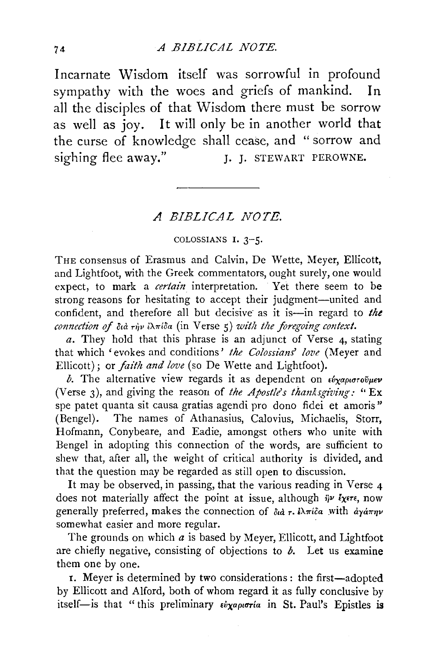Incarnate Wisdom itself was sorrowful in profound sympathy with the woes and griefs of mankind. In all the disciples of that Wisdom there must be sorrow as well as joy. It will only be in another world that the curse of knowledge shall cease, and "sorrow and sighing flee away." J. J. STEWART PEROWNE.

## *A BIBLICAL NOTE.*

## COLOSSIANS I. 3-5.

THE consensus of Erasmus and Calvin, De Wette, Meyer, Ellicott, and Lightfoot, with the Greek commentators, ought surely, one would expect, to mark a *certain* interpretation. Yet there seem to be strong reasons for hesitating to accept their judgment-united and confident, and therefore all but decisive as it is-in regard to the  $\emph{connection of $\delta$}$ ,  $\emph{d}$  riv iA $\pi$ <sup>ida</sup> (in Verse 5) with the foregoing context.

*a.* They hold that this phrase is an adjunct of Verse 4, stating that which 'evokes and conditions' *the Colossians' love* (Meyer and Ellicott); or *faith and love* (so De Wette and Lightfoot).

*b*. The alternative view regards it as dependent on *εύχαριστούμεν* (Verse 3), and giving the reason of *the Apostle's thanksgiving*: "Ex spe patet quanta sit causa gratias agendi pro dono fidei et amoris" (Bengel). The names of Athanasius, Calovius, Michaelis, Storr, Hofmann, Conybeare, and Eadie, amongst others who unite with Bengel in adopting this connection of the words, are sufficient to shew that, after all, the weight of critical authority is divided, and that the question may be regarded as still open to discussion.

It may be observed, in passing, that the various reading in Verse 4 does not materially affect the point at issue, although  $i\psi$  *ixers*, now generally preferred, makes the connection of  $\partial u \partial \tau$ .  $i\lambda \pi i \partial \alpha$  with  $\partial x \partial \eta \nu$ somewhat easier and more regular.

The grounds on which  $a$  is based by Meyer, Ellicott, and Lightfoot are chiefly negative, consisting of objections to *b.* Let us examine them one by one.

I. Meyer is determined by two considerations: the first-adopted by Ellicott and Alford, both of whom regard it as fully conclusive by itself-is that "this preliminary *£uxapurria* in St. Paul's Epistles is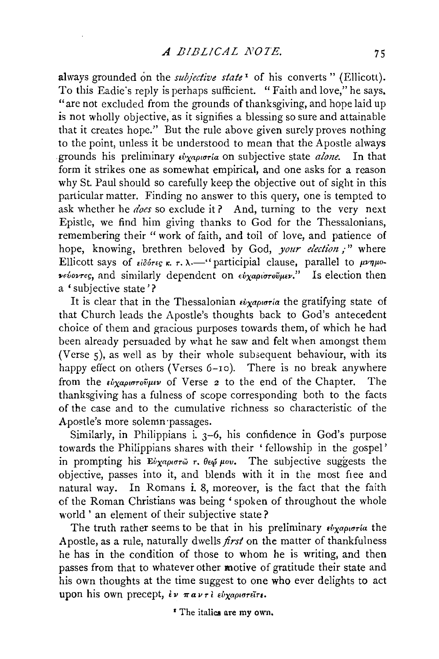always grounded on the *subjective state*<sup>1</sup> of his converts " (Ellicott). To this Eadie's reply is perhaps sufficient. "Faith and love," he says. "are not excluded from the grounds of thanksgiving, and hope laid up is not wholly objective, as it signifies a blessing so sure and attainable that it creates hope." But the rule above given surely proves nothing to the point, unless it be understood to mean that the Apostle always erounds his preliminary  $\vec{v}_{\text{Yapu}p}$  on subjective state *alone*. In that form it strikes one as somewhat empirical, and one asks for a reason why St. Paul should so carefully keep the objective out of sight in this particular matter. Finding no answer to this query, one is tempted to ask whether he *does* so exclude it? And, turning to the very next Epistle, we find him giving thanks to God for the Thessalonians, remembering their "work of faith, and toil of love, and patience of hope, knowing, brethren beloved by God, *your election;"* where Ellicott says of  $\epsilon i \delta \acute{\sigma}r\epsilon \epsilon \kappa$ ,  $\tau$ .  $\lambda$ . "participial clause, parallel to  $\mu\nu\eta\mu$ <sup>o-</sup>  $ν$ <sup>εύοντες</sup>, and similarly dependent on *εύχαριστούμεν.*" Is election then a 'subjective state'?

It is clear that in the Thessalonian  $\epsilon_{V}$ *apvorta* the gratifying state of that Church leads the Apostle's thoughts back to God's antecedent choice of them and gracious purposes towards them, of which he had been already persuaded by what he saw and felt when amongst them (Verse 5), as well as by their whole subsequent behaviour, with its happy effect on others (Verses 6-10). There is no break anywhere from the *εύχαριστούμεν* of Verse *2* to the end of the Chapter. The thanksgiving has a fulness of scope corresponding both to the facts of the case and to the cumulative richness so characteristic of the Apostle's more solemn ·passages.

Similarly, in Philippians i. 3-6, his confidence in God's purpose towards the Philippians shares with their ' fellowship in the gospel' in prompting his Εύχαριστώ τ. θεψ μου. The subjective suggests the objective, passes into it, and blends with it in the most free and natural way. In Romans i. 8, moreover, is the fact that the faith of the Roman Christians was being ' spoken of throughout the whole world' an element of their subjective state?

The truth rather seems to be that in his preliminary  $\epsilon \psi_{\chi} \alpha \rho_{\mu} \sigma_{\tau} \alpha$  the Apostle, as a rule, naturally dwells *first* on the matter of thankfulness he has in the condition of those to whom he is writing, and then passes from that to whatever other motive of gratitude their state and his own thoughts at the time suggest to one who ever delights to act upon his own precept, εν παντι εύχαριστείτε.

<sup>*I*</sup> The italics are my own.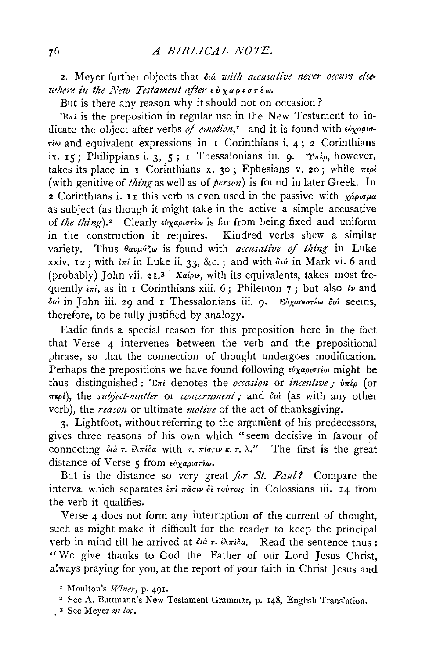2. Meyer further objects that *dia with accusative never occurs elsewhere in the New Testament after*  $\epsilon \dot{v}$  *yupior*  $\epsilon \omega$ .

But is there any reason why it should not on occasion?

 $E\pi i$  is the preposition in regular use in the New Testament to indicate the object after verbs of emotion,<sup>1</sup> and it is found with  $\epsilon \psi_{\chi}$ *apio*- $\tau^2$  and equivalent expressions in **I** Corinthians i. 4; 2 Corinthians ix. 15; Philippians i. 3, 5; I Thessalonians iii. 9.  $\mathcal{T}_{\pi\epsilon\rho}$ , however, takes its place in I Corinthians x. 30; Ephesians v. 20; while  $\pi \epsilon \rho i$ (with genitive of *thing* as well as of *person)* is found in later Greek. In 2 Corinthians i. II this verb is even used in the passive with  $\chi_{\alpha}$ <sup>*a* $\rho$ *u* $\sigma$ *µa*</sup> as subject (as though it might take in the active a simple accusative of *the thing*).<sup>2</sup> Clearly εύχαριστέω is far from being fixed and uniform in the construction it requires. Kindred verbs shew a similar variety. Thus  $\theta_{\alpha\nu\mu\dot{\alpha}\zeta\omega}$  is found with *accusative of thing* in Luke xxiv. 12; with  $i\pi i$  in Luke ii. 33, &c.; and with  $\delta u$  in Mark vi. 6 and (probably) John vii. 2 r.3 *Xaipw,* with its equivalents, takes most frequently  $\frac{\partial u}{\partial x}$ , as in I Corinthians xiii. 6; Philemon 7; but also *lv* and *ota* in John iii. 29 and 1 Thessalonians iii. 9· *Evxapt<1TEw ota* seems, therefore, to be fully justified by analogy.

Eadie finds a special reason for this preposition here in the fact that Verse 4 intervenes between the verb and the prepositional phrase, so that the connection of thought undergoes modification. Perhaps the prepositions we have found following *εύχαριστέω* might be thus distinguished : 'E<sub>ni</sub> denotes the *occasion* or *incentive* :  $\dot{v}$ <sub>n</sub> (or  $περ*i*$ ), the *subject-matter* or *concernment*; and διά (as with any other verb), the *reason* or ultimate *motive* of the act of thanksgiving.

3. Lightfoot, without referring to the argument of his predecessors, gives three reasons of his own which "seem decisive in favour of connecting  $\partial u \partial \tau$ .  $\partial \lambda \pi i \partial \alpha$  with  $\tau$ .  $\pi i \sigma \tau \nu \kappa$ .  $\tau$ .  $\lambda$ ." The first is the great distance of Verse 5 from *εύχαριστέω*.

But is the distance so very great *for St. Paul?* Compare the interval which separates  $\frac{2\pi i}{\pi a \sigma \nu}$   $\delta \frac{2\pi}{\sigma^2 a \sigma \nu}$  in Colossians iii. 14 from the verb it qualifies.

Verse 4 does not form any interruption of the current of thought, such as might make it difficult for the reader to keep the principal verb in mind till he arrived at  $\partial u \dot{\tau}$ .  $\partial x \dot{\tau} \partial \dot{\alpha}$ . Read the sentence thus: "We give thanks to God the Father of our Lord Jesus Christ, always praying for you, at the report of your faith in Christ Jesus and

- See A. Duttmann's New Testament Grammar, p. 148, English Translation.
- , 3 See Meyer *in !oc.*

<sup>&</sup>lt;sup>1</sup> Moulton's *Winer*, p. 491.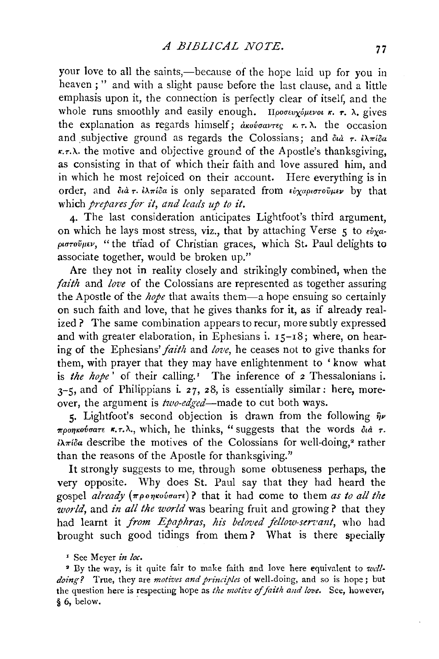your love to all the saints,—because of the hope laid up for you in heaven ; " and with a slight pause before the last clause, and a little emphasis upon it, the connection is perfectly clear of itself, and the whole runs smoothly and easily enough. *IIportugues x. r.*  $\lambda$ , gives the explanation as regards himself;  $\frac{\partial}{\partial x}$   $\kappa$   $\tau$ . and subjective ground as regards the Colossians; and  $\delta u \dot{a} \tau$ .  $i\lambda \pi i \delta a$  $r.\tau.\lambda$  the motive and objective ground of the Apostle's thanksgiving, as consisting in that of which their faith and love assured him, and in which he most rejoiced on their account. Here everything is in order, and  $\delta u\dot{\sigma}r$ .  $i\lambda\pi i\delta a$  is only separated from  $\epsilon\dot{\nu}\chi a\rho\iota\sigma\tau o\tilde{\nu}\mu\iota\nu$  by that which *prepares for it, and leads up to* it.

4· The last consideration anticipates Lightfoot's third argument, on which he lays most stress, viz., that by attaching Verse 5 to  $\epsilon \nu \nu \alpha$ *p•rrrovJI•v,* "the triad of Christian graces, which St. Paul delights to associate together, would be broken up."

Are they not in reality closely and strikingly combined, when the *faith* and *love* of the Colossians are represented as together assuring the Apostle of the *hope* that awaits them-a hope ensuing so certainly on such faith and love, that he gives thanks for it, as if already realized? The same combination appears to recur, more subtly expressed and with greater elaboration, in Ephesians i.  $15-18$ ; where, on hearing of the Ephesians' *faith* and *love*, he ceases not to give thanks for them, with prayer that they may have enlightenment to 'know what is *the hope'* of their calling.' The inference of *z* Thessalonians i.  $3-5$ , and of Philippians i. 27, 28, is essentially similar: here, moreover, the argument is *two-edged-made* to cut both ways.

5· Lightfoot's second objection is drawn from the following *i)v The Treonkovaare* **x.**  $\tau$ .  $\lambda$ ., which, he thinks, "suggests that the words  $\partial_t d \tau$ .  $i\lambda\pi i\delta a$  describe the motives of the Colossians for well-doing,<sup>2</sup> rather than the reasons of the Apostle for thanksgiving."

It strongly suggests to me, through some obtuseness perhaps, the very opposite. Why does St. Paul say that they had heard the gospel *already*  $(\pi \rho \circ \eta \circ \omega \circ a\pi)$ ? that it had come to them *as to all the world,* and *in all the world* was bearing fruit and growing? that they had learnt it *from Epaphras, his beloved fellow-servant*, who had brought such good tidings from them? What is there specially

' See Meyer *in loc.* 

• By the way, is it quite fair to make faith and love here equivalent to *wdldoing?* True, they are *motives and principles* ol well-doing, and so is hope ; but the question here is respecting hope as *the motive of faith and love*. See, however,  $§ 6, below.$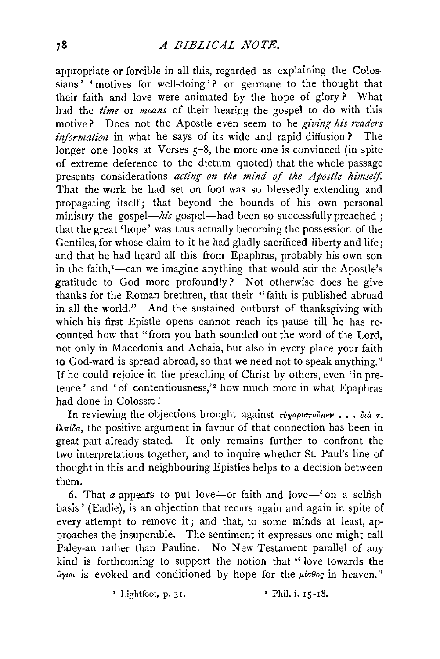## *A BIBLICAL NOTE.*

appropriate or forcible in all this, regarded as explaining the Colos· sians' 'motives for well-doing'? or germane to the thought that their faith and love were animated by the hope of glory? What had the *time* or *means* of their hearing the gospel to do with this motive? Does not the Apostle even seem to be *giving his readers information* in what he says of its wide and rapid diffusion? The longer one looks at Verses  $5-8$ , the more one is convinced (in spite of extreme deference to the dictum quoted) that the whole passage presents considerations *acting on the mind of the Apostle himself*  That the work he had set on foot was so blessedly extending and propagating itself; that beyond the bounds of his own personal ministry the gospel—*his* gospel—had been so successfully preached ; that the great 'hope' was thus actually becoming the possession of the Gentiles, for whose claim to it he had gladly sacrificed liberty and life; and that he had heard all this from Epaphras, probably his own son in the faith,<sup>*r*</sup>-can we imagine anything that would stir the Apostle's gratitude to God more profoundly? Not otherwise does he give thanks for the Roman brethren, that their "faith is published abroad in all the world." And the sustained outburst of thanksgiving with which his first Epistle opens cannot reach its pause till he has recounted how that "from you hath sounded out the word of the Lord, not only in Macedonia and Achaia, but also in every place your faith to God-ward is spread abroad, so that we need not to speak anything." If he could rejoice in the preaching of Christ by others, even 'in pretence' and 'of contentiousness,'<sup>2</sup> how much more in what Epaphras had done in Colossæ!

In reviewing the objections brought against  $\epsilon \dot{v} \gamma \alpha \rho i \sigma \tau \dot{v} \mu \epsilon \nu \ldots \delta \mu \tau$ .  $\ell\lambda\pi\ell\delta\alpha$ , the positive argument in favour of that connection has been in great part already stated. It only remains further to confront the two interpretations together, and to inquire whether St. Paul's line of thought in this and neighbouring Epistles helps to a decision between them.

6. That *a* appears to put love-or faith and love-' on a selfish basis' (Eadie), is an objection that recurs again and again in spite of every attempt to remove it; and that, to some minds at least, approaches the insuperable. The sentiment it expresses one might call Paley-an rather than Pauline. No New Testament parallel of any kind is forthcoming to support the notion that " love towards the  $i$ *i*yw is evoked and conditioned by hope for the  $\mu i \sigma \theta o \sigma$  in heaven."

 $\frac{1}{2}$  Lightfoot, p. 31.  $\frac{1}{2}$  Phil. i. 15-18.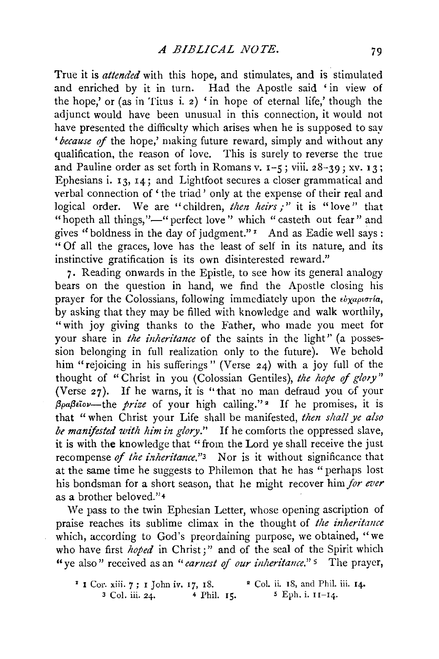True it is *attended* with this hope, and stimulates, and is stimulated and enriched by it in turn. Had the Apostle said 'in view of the hope,' or (as in Titus i. 2) ' in hope of eternal life,' though the adjunct would have been unusual in this connection, it would not have presented the difficulty which arises when he is supposed to say *'because of* the hope,' making future reward, simply and without any qualification, the reason of love. This is surely to reverse the true and Pauline order as set forth in Romans v.  $I - 5$ ; viii. 28-39; xv. 13; Ephesians i. 13, I4; and Lightfoot secures a closer grammatical and verbal connection of ' the triad' only at the expense of their real and logical order. We are "children, *then heirs* ;" it is "love" that "hopeth all things,"-" perfect love" which "casteth out fear" and gives ''boldness in the day of judgment." *z* And as Eadie well says : " Of all the graces, love has the least of self in its nature, and its instinctive gratification is its own disinterested reward."

7. Reading onwards in the Epistle, to see how its general analogy bears on the question in hand, we find the Apostle closing his prayer for the Colossians, following immediately upon the  $\epsilon \nu \chi_{\alpha \rho \nu \sigma \tau/\alpha}$ , by asking that they may be filled with knowledge and walk worthily, "with joy giving thanks to the Father, who made you meet for your share in *the inheritance* of the saints in the light'' (a possession belonging in full realization only to the future). We behold him "rejoicing in his sufferings" (Verse 24) with a joy full of the thought of "Christ in you ( Colossian Gentiles), *the hope* of *gloty"*  (Verse 27). If he warns, it is ''that no man defraud you of your *,6paf3Eiov-the prize* of your high calling." • If he promises, it is that "when Christ your Life shall be manifested, *then shall ye also be manifested with him in glory.*" If he comforts the oppressed slave, it is with the knowledge that "from the Lord ye shall receive the just recompense *of the inheritance*."<sup>3</sup> Nor is it without significance that at the same time he suggests to Philemon that he has "perhaps lost his bondsman for a short season, that he might recover him *for ever* as a brother beloved."4

We pass to the twin Ephesian Letter, whose opening ascription of praise reaches its sublime climax in the thought of *the inheritance*  which, according to God's preordaining purpose, we obtained, "we who have first *hoped* in Christ;" and of the seal of the Spirit which " ye also" received as an "earnest of our inheritance." <sup>5</sup> The prayer,

 $\mathbf{1}$  Cor. xiii. 7; I John iv. 17, 18.  $3 \text{ Col. iii. } 24. \qquad 4 \text{ Phil. } 15. \qquad 5 \text{ Eph. i. } 11-14.$ • Col. ii. 18, and Phil. iii. I4·